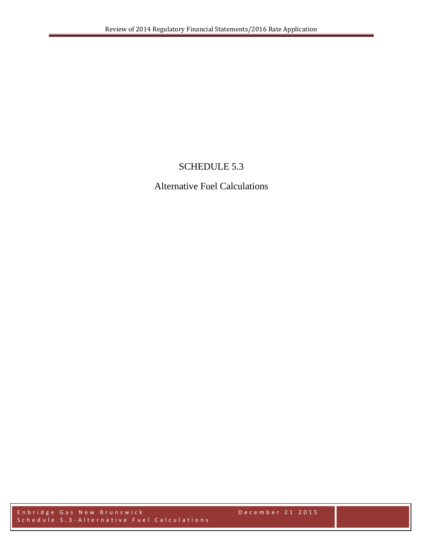## SCHEDULE 5.3

## Alternative Fuel Calculations

Enbridge Gas New Brunswick December 2 1 2015 Schedule 5.3 - Alternative Fuel Calculations